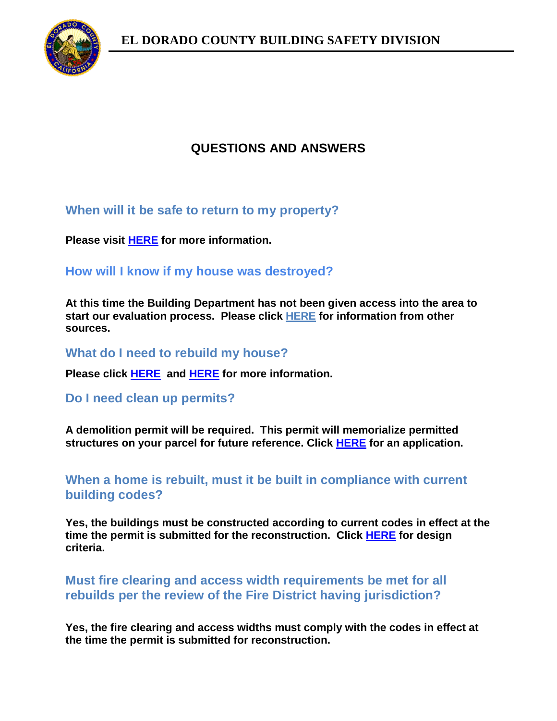

# **QUESTIONS AND ANSWERS**

## **When will it be safe to return to my property?**

**Please visit [HERE](https://www.edcgov.us/Government/building/Documents/Guidance%20for%20Owners.pdf) for more information.**

**How will I know if my house was destroyed?**

**At this time the Building Department has not been given access into the area to start our evaluation process. Please click [HERE](https://calfire-forestry.maps.arcgis.com/apps/webappviewer/index.html?id=366d1a3e25ce4a11a4c0846c3a337ce9&extent=-13464888.411%2C4646560.0626%2C-13348704.128%2C4707786.1223%2C102100) for information from other sources.**

**What do I need to rebuild my house?**

**Please click [HERE](https://www.edcgov.us/Government/building/Documents/Rebuilding%20After%20a%20Disaster.pdf) and [HERE](https://www.edcgov.us/Government/building/pages/residential_plan_review_guidelines.aspx) for more information.**

**Do I need clean up permits?**

**A demolition permit will be required. This permit will memorialize permitted structures on your parcel for future reference. Click [HERE](https://www.edcgov.us/Government/building/Documents/Permit%20Application%20%28Revised%20Aug%202021%29.pdf) for an application.**

**When a home is rebuilt, must it be built in compliance with current building codes?**

**Yes, the buildings must be constructed according to current codes in effect at the time the permit is submitted for the reconstruction. Click [HERE](https://edcapps.edcgov.us/building/DesignCriteria.asp) for design criteria.**

### **Must fire clearing and access width requirements be met for all rebuilds per the review of the Fire District having jurisdiction?**

**Yes, the fire clearing and access widths must comply with the codes in effect at the time the permit is submitted for reconstruction.**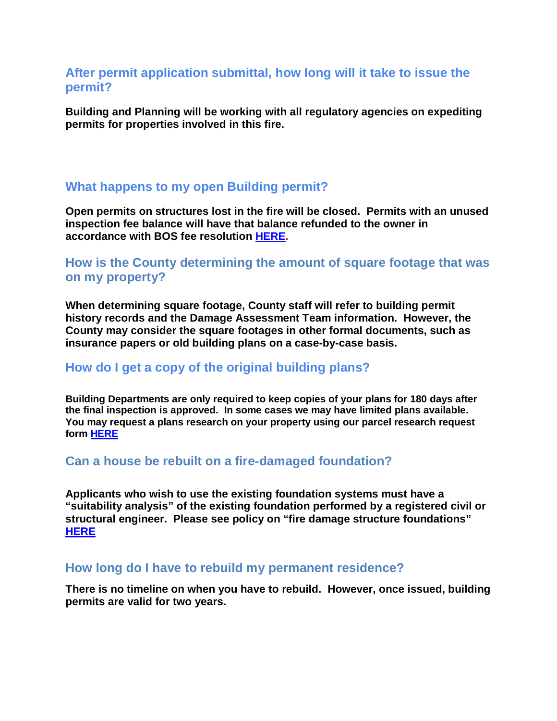#### **After permit application submittal, how long will it take to issue the permit?**

**Building and Planning will be working with all regulatory agencies on expediting permits for properties involved in this fire.**

#### **What happens to my open Building permit?**

**Open permits on structures lost in the fire will be closed. Permits with an unused inspection fee balance will have that balance refunded to the owner in accordance with BOS fee resolution [HERE.](https://www.edcgov.us/Government/building/Documents/Executed%20Fee%20Resolution,%20186-2019.pdf)**

### **How is the County determining the amount of square footage that was on my property?**

**When determining square footage, County staff will refer to building permit history records and the Damage Assessment Team information. However, the County may consider the square footages in other formal documents, such as insurance papers or old building plans on a case-by-case basis.**

#### **How do I get a copy of the original building plans?**

**Building Departments are only required to keep copies of your plans for 180 days after the final inspection is approved. In some cases we may have limited plans available. You may request a plans research on your property using our parcel research request form [HERE](https://www.edcgov.us/Government/building/Documents/Research%20Request-Affidavit%20%28Aug%202021%29.pdf)**

#### **Can a house be rebuilt on a fire-damaged foundation?**

**Applicants who wish to use the existing foundation systems must have a "suitability analysis" of the existing foundation performed by a registered civil or structural engineer. Please see policy on "fire damage structure foundations" [HERE](https://www.edcgov.us/Government/building/Documents/Fire%20Damage%20Structure%20Foundations%20%28Aug%202021%29.pdf)**

#### **How long do I have to rebuild my permanent residence?**

**There is no timeline on when you have to rebuild. However, once issued, building permits are valid for two years.**